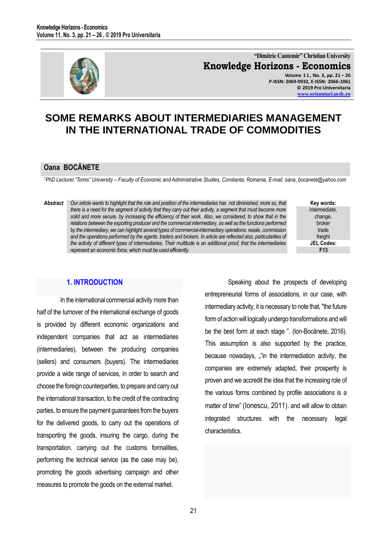

**"Dimitrie Cantemir" Christian University Knowledge Horizons - Economics Volume 1 1 , No. 3, pp. 21 – 26 P-ISSN: 2069-0932, E-ISSN: 2066-1061 © 2019 Pro Universitaria [www.orizonturi.ucdc.ro](http://www.orizonturi.ucdc.ro/)**

# **SOME REMARKS ABOUT INTERMEDIARIES MANAGEMENT IN THE INTERNATIONAL TRADE OF COMMODITIES**

## **Oana BOCĂNETE**

*<sup>1</sup>PhD Lecturer,"Tomis" University – Faculty of Economic and Administrative Studies, Constanta, Romania, E-mail: oana\_bocanete@yahoo.com* 

*Abstract Our article wants to highlight that the role and position of the intermediaries has not diminished, more so, that*  there is a need for the segment of activity that they carry out their activity, a segment that must become more *solid and more secure, by increasing the efficiency of their work. Also, we considered, to show that in the relations between the exporting producer and the commercial intermediary, as well as the functions performed by the intermediary, we can highlight several types of commercial-intermediary operations: resale, commission and the operations performed by the agents. traders and brokers. In article are reflected also, particularities of the activity of different types of intermediaries. Their multitude is an additional proof, that the intermediaries represent an economic force, which must be used efficiently.* 



## **1. INTRODUCTION**

In the international commercial activity more than half of the turnover of the international exchange of goods is provided by different economic organizations and independent companies that act as intermediaries (intermediaries), between the producing companies (sellers) and consumers (buyers). The intermediaries provide a wide range of services, in order to search and choose the foreign counterparties, to prepare and carry out the international transaction, to the credit of the contracting parties, to ensure the payment guarantees from the buyers for the delivered goods, to carry out the operations of transporting the goods, insuring the cargo, during the transportation. carrying out the customs formalities, performing the technical service (as the case may be), promoting the goods advertising campaign and other measures to promote the goods on the external market.

Speaking about the prospects of developing entrepreneurial forms of associations, in our case, with intermediary activity, it is necessary to note that, "the future form of action will logically undergo transformations and will be the best form at each stage ". (Ion-Bocănete, 2016). This assumption is also supported by the practice, because nowadays, ""in the intermediation activity, the companies are extremely adapted, their prosperity is proven and we accredit the idea that the increasing role of the various forms combined by profile associations is a matter of time" (Ionescu, 2011). and will allow to obtain integrated structures with the necessary legal characteristics.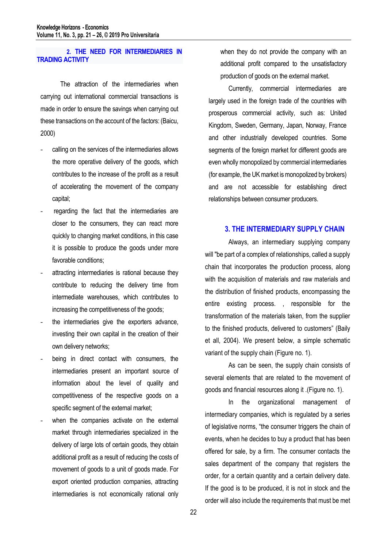## **2. THE NEED FOR INTERMEDIARIES IN TRADING ACTIVITY**

The attraction of the intermediaries when carrying out international commercial transactions is made in order to ensure the savings when carrying out these transactions on the account of the factors: (Baicu, 2000)

- calling on the services of the intermediaries allows the more operative delivery of the goods, which contributes to the increase of the profit as a result of accelerating the movement of the company capital;
- regarding the fact that the intermediaries are closer to the consumers, they can react more quickly to changing market conditions, in this case it is possible to produce the goods under more favorable conditions;
- attracting intermediaries is rational because they contribute to reducing the delivery time from intermediate warehouses, which contributes to increasing the competitiveness of the goods;
- the intermediaries give the exporters advance, investing their own capital in the creation of their own delivery networks;
- being in direct contact with consumers, the intermediaries present an important source of information about the level of quality and competitiveness of the respective goods on a specific segment of the external market;
- when the companies activate on the external market through intermediaries specialized in the delivery of large lots of certain goods, they obtain additional profit as a result of reducing the costs of movement of goods to a unit of goods made. For export oriented production companies, attracting intermediaries is not economically rational only

when they do not provide the company with an additional profit compared to the unsatisfactory production of goods on the external market.

Currently, commercial intermediaries are largely used in the foreign trade of the countries with prosperous commercial activity, such as: United Kingdom, Sweden, Germany, Japan, Norway, France and other industrially developed countries. Some segments of the foreign market for different goods are even wholly monopolized by commercial intermediaries (for example, the UK market is monopolized by brokers) and are not accessible for establishing direct relationships between consumer producers.

## **3. THE INTERMEDIARY SUPPLY CHAIN**

Always, an intermediary supplying company will "be part of a complex of relationships, called a supply chain that incorporates the production process, along with the acquisition of materials and raw materials and the distribution of finished products, encompassing the entire existing process. , responsible for the transformation of the materials taken, from the supplier to the finished products, delivered to customers" (Baily et all, 2004). We present below, a simple schematic variant of the supply chain (Figure no. 1).

As can be seen, the supply chain consists of several elements that are related to the movement of goods and financial resources along it .(Figure no. 1).

In the organizational management of intermediary companies, which is regulated by a series of legislative norms, "the consumer triggers the chain of events, when he decides to buy a product that has been offered for sale, by a firm. The consumer contacts the sales department of the company that registers the order, for a certain quantity and a certain delivery date. If the good is to be produced, it is not in stock and the order will also include the requirements that must be met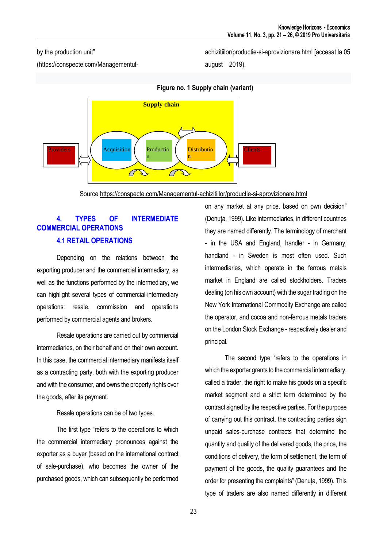## by the production unit"

(https://conspecte.com/Managementul-

achizitiilor/productie-si-aprovizionare.html [accesat la 05 august 2019).



**Figure no. 1 Supply chain (variant)**

Source<https://conspecte.com/Managementul-achizitiilor/productie-si-aprovizionare.html>

## **4. TYPES OF INTERMEDIATE COMMERCIAL OPERATIONS 4.1 RETAIL OPERATIONS**

Depending on the relations between the exporting producer and the commercial intermediary, as well as the functions performed by the intermediary, we can highlight several types of commercial-intermediary operations: resale, commission and operations performed by commercial agents and brokers.

Resale operations are carried out by commercial intermediaries, on their behalf and on their own account. In this case, the commercial intermediary manifests itself as a contracting party, both with the exporting producer and with the consumer, and owns the property rights over the goods, after its payment.

Resale operations can be of two types.

The first type "refers to the operations to which the commercial intermediary pronounces against the exporter as a buyer (based on the international contract of sale-purchase), who becomes the owner of the purchased goods, which can subsequently be performed on any market at any price, based on own decision" (Denuța, 1999). Like intermediaries, in different countries they are named differently. The terminology of merchant - in the USA and England, handler - in Germany, handland - in Sweden is most often used. Such intermediaries, which operate in the ferrous metals market in England are called stockholders. Traders dealing (on his own account) with the sugar trading on the New York International Commodity Exchange are called the operator, and cocoa and non-ferrous metals traders on the London Stock Exchange - respectively dealer and principal.

The second type "refers to the operations in which the exporter grants to the commercial intermediary, called a trader, the right to make his goods on a specific market segment and a strict term determined by the contract signed by the respective parties. For the purpose of carrying out this contract, the contracting parties sign unpaid sales-purchase contracts that determine the quantity and quality of the delivered goods, the price, the conditions of delivery, the form of settlement, the term of payment of the goods, the quality guarantees and the order for presenting the complaints" (Denuța, 1999). This type of traders are also named differently in different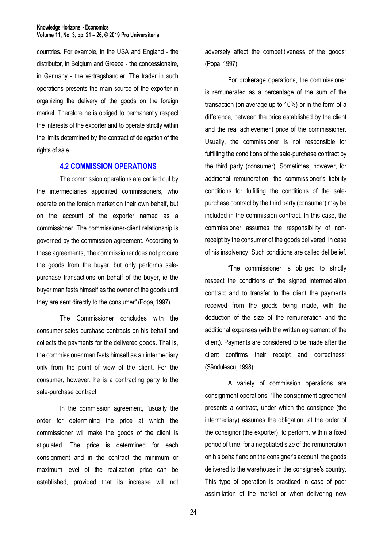countries. For example, in the USA and England - the distributor, in Belgium and Greece - the concessionaire, in Germany - the vertragshandler. The trader in such operations presents the main source of the exporter in organizing the delivery of the goods on the foreign market. Therefore he is obliged to permanently respect the interests of the exporter and to operate strictly within the limits determined by the contract of delegation of the rights of sale.

#### **4.2 COMMISSION OPERATIONS**

The commission operations are carried out by the intermediaries appointed commissioners, who operate on the foreign market on their own behalf, but on the account of the exporter named as a commissioner. The commissioner-client relationship is governed by the commission agreement. According to these agreements, "the commissioner does not procure the goods from the buyer, but only performs salepurchase transactions on behalf of the buyer, ie the buyer manifests himself as the owner of the goods until they are sent directly to the consumer" (Popa, 1997).

The Commissioner concludes with the consumer sales-purchase contracts on his behalf and collects the payments for the delivered goods. That is, the commissioner manifests himself as an intermediary only from the point of view of the client. For the consumer, however, he is a contracting party to the sale-purchase contract.

In the commission agreement, "usually the order for determining the price at which the commissioner will make the goods of the client is stipulated. The price is determined for each consignment and in the contract the minimum or maximum level of the realization price can be established, provided that its increase will not adversely affect the competitiveness of the goods" (Popa, 1997).

For brokerage operations, the commissioner is remunerated as a percentage of the sum of the transaction (on average up to 10%) or in the form of a difference, between the price established by the client and the real achievement price of the commissioner. Usually, the commissioner is not responsible for fulfilling the conditions of the sale-purchase contract by the third party (consumer). Sometimes, however, for additional remuneration, the commissioner's liability conditions for fulfilling the conditions of the salepurchase contract by the third party (consumer) may be included in the commission contract. In this case, the commissioner assumes the responsibility of nonreceipt by the consumer of the goods delivered, in case of his insolvency. Such conditions are called del belief.

"The commissioner is obliged to strictly respect the conditions of the signed intermediation contract and to transfer to the client the payments received from the goods being made, with the deduction of the size of the remuneration and the additional expenses (with the written agreement of the client). Payments are considered to be made after the client confirms their receipt and correctness" (Săndulescu, 1998).

A variety of commission operations are consignment operations. "The consignment agreement presents a contract, under which the consignee (the intermediary) assumes the obligation, at the order of the consignor (the exporter), to perform, within a fixed period of time, for a negotiated size of the remuneration on his behalf and on the consigner's account. the goods delivered to the warehouse in the consignee's country. This type of operation is practiced in case of poor assimilation of the market or when delivering new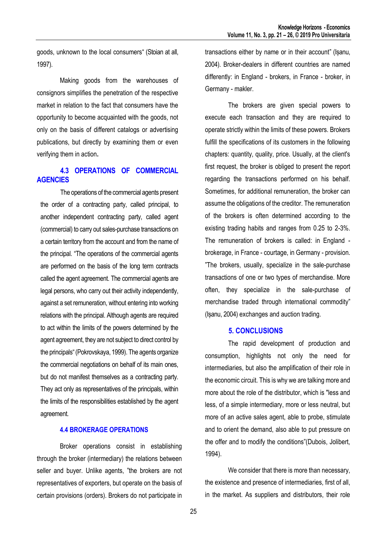goods, unknown to the local consumers" (Stoian at all, 1997).

Making goods from the warehouses of consignors simplifies the penetration of the respective market in relation to the fact that consumers have the opportunity to become acquainted with the goods, not only on the basis of different catalogs or advertising publications, but directly by examining them or even verifying them in action**.**

## **4.3 OPERATIONS OF COMMERCIAL AGENCIES**

The operations of the commercial agents present the order of a contracting party, called principal, to another independent contracting party, called agent (commercial) to carry out sales-purchase transactions on a certain territory from the account and from the name of the principal. "The operations of the commercial agents are performed on the basis of the long term contracts called the agent agreement. The commercial agents are legal persons, who carry out their activity independently, against a set remuneration, without entering into working relations with the principal. Although agents are required to act within the limits of the powers determined by the agent agreement, they are not subject to direct control by the principals" (Pokrovskaya, 1999). The agents organize the commercial negotiations on behalf of its main ones, but do not manifest themselves as a contracting party. They act only as representatives of the principals, within the limits of the responsibilities established by the agent agreement.

## **4.4 BROKERAGE OPERATIONS**

Broker operations consist in establishing through the broker (intermediary) the relations between seller and buyer. Unlike agents, "the brokers are not representatives of exporters, but operate on the basis of certain provisions (orders). Brokers do not participate in

transactions either by name or in their account" (Ișanu, 2004). Broker-dealers in different countries are named differently: in England - brokers, in France - broker, in Germany - makler.

The brokers are given special powers to execute each transaction and they are required to operate strictly within the limits of these powers. Brokers fulfill the specifications of its customers in the following chapters: quantity, quality, price. Usually, at the client's first request, the broker is obliged to present the report regarding the transactions performed on his behalf. Sometimes, for additional remuneration, the broker can assume the obligations of the creditor. The remuneration of the brokers is often determined according to the existing trading habits and ranges from 0.25 to 2-3%. The remuneration of brokers is called: in England brokerage, in France - courtage, in Germany - provision. "The brokers, usually, specialize in the sale-purchase transactions of one or two types of merchandise. More often, they specialize in the sale-purchase of merchandise traded through international commodity" (Ișanu, 2004) exchanges and auction trading.

## **5. CONCLUSIONS**

The rapid development of production and consumption, highlights not only the need for intermediaries, but also the amplification of their role in the economic circuit. This is why we are talking more and more about the role of the distributor, which is "less and less, of a simple intermediary, more or less neutral, but more of an active sales agent, able to probe, stimulate and to orient the demand, also able to put pressure on the offer and to modify the conditions"(Dubois, Jolibert, 1994).

We consider that there is more than necessary, the existence and presence of intermediaries, first of all, in the market. As suppliers and distributors, their role